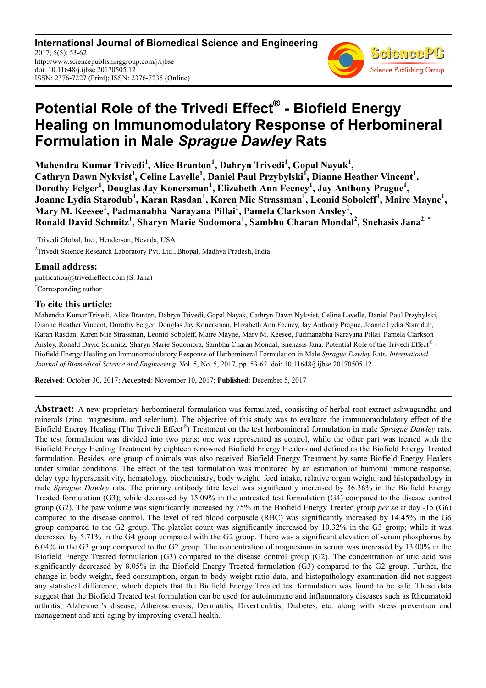**International Journal of Biomedical Science and Engineering** 2017; 5(5): 53-62 http://www.sciencepublishinggroup.com/j/ijbse doi: 10.11648/j.ijbse.20170505.12 ISSN: 2376-7227 (Print); ISSN: 2376-7235 (Online)



# **Potential Role of the Trivedi Effect® - Biofield Energy Healing on Immunomodulatory Response of Herbomineral Formulation in Male** *Sprague Dawley* **Rats**

**Mahendra Kumar Trivedi<sup>1</sup> , Alice Branton<sup>1</sup> , Dahryn Trivedi<sup>1</sup> , Gopal Nayak<sup>1</sup> ,**  Cathryn Dawn Nykvist<sup>1</sup>, Celine Lavelle<sup>1</sup>, Daniel Paul Przybylski<sup>1</sup>, Dianne Heather Vincent<sup>1</sup>, **Dorothy Felger<sup>1</sup> , Douglas Jay Konersman<sup>1</sup> , Elizabeth Ann Feeney<sup>1</sup> , Jay Anthony Prague<sup>1</sup> , Joanne Lydia Starodub<sup>1</sup> , Karan Rasdan<sup>1</sup> , Karen Mie Strassman<sup>1</sup> , Leonid Soboleff<sup>1</sup> , Maire Mayne<sup>1</sup> , Mary M. Keesee<sup>1</sup> , Padmanabha Narayana Pillai<sup>1</sup> , Pamela Clarkson Ansley<sup>1</sup> , Ronald David Schmitz<sup>1</sup> , Sharyn Marie Sodomora<sup>1</sup> , Sambhu Charan Mondal<sup>2</sup> , Snehasis Jana2, \***

<sup>1</sup>Trivedi Global, Inc., Henderson, Nevada, USA <sup>2</sup>Trivedi Science Research Laboratory Pvt. Ltd., Bhopal, Madhya Pradesh, India

# **Email address:**

publication@trivedieffect.com (S. Jana) \*Corresponding author

# **To cite this article:**

Mahendra Kumar Trivedi, Alice Branton, Dahryn Trivedi, Gopal Nayak, Cathryn Dawn Nykvist, Celine Lavelle, Daniel Paul Przybylski, Dianne Heather Vincent, Dorothy Felger, Douglas Jay Konersman, Elizabeth Ann Feeney, Jay Anthony Prague, Joanne Lydia Starodub, Karan Rasdan, Karen Mie Strassman, Leonid Soboleff, Maire Mayne, Mary M. Keesee, Padmanabha Narayana Pillai, Pamela Clarkson Ansley, Ronald David Schmitz, Sharyn Marie Sodomora, Sambhu Charan Mondal, Snehasis Jana. Potential Role of the Trivedi Effect® -Biofield Energy Healing on Immunomodulatory Response of Herbomineral Formulation in Male *Sprague Dawley* Rats. *International Journal of Biomedical Science and Engineering*. Vol. 5, No. 5, 2017, pp. 53-62. doi: 10.11648/j.ijbse.20170505.12

**Received**: October 30, 2017; **Accepted**: November 10, 2017; **Published**: December 5, 2017

**Abstract:** A new proprietary herbomineral formulation was formulated, consisting of herbal root extract ashwagandha and minerals (zinc, magnesium, and selenium). The objective of this study was to evaluate the immunomodulatory effect of the Biofield Energy Healing (The Trivedi Effect® ) Treatment on the test herbomineral formulation in male *Sprague Dawley* rats. The test formulation was divided into two parts; one was represented as control, while the other part was treated with the Biofield Energy Healing Treatment by eighteen renowned Biofield Energy Healers and defined as the Biofield Energy Treated formulation. Besides, one group of animals was also received Biofield Energy Treatment by same Biofield Energy Healers under similar conditions. The effect of the test formulation was monitored by an estimation of humoral immune response, delay type hypersensitivity, hematology, biochemistry, body weight, feed intake, relative organ weight, and histopathology in male *Sprague Dawley* rats. The primary antibody titre level was significantly increased by 36.36% in the Biofield Energy Treated formulation (G3); while decreased by 15.09% in the untreated test formulation (G4) compared to the disease control group (G2). The paw volume was significantly increased by 75% in the Biofield Energy Treated group *per se* at day -15 (G6) compared to the disease control. The level of red blood corpuscle (RBC) was significantly increased by 14.45% in the G6 group compared to the G2 group. The platelet count was significantly increased by 10.32% in the G3 group; while it was decreased by 5.71% in the G4 group compared with the G2 group. There was a significant elevation of serum phosphorus by 6.04% in the G3 group compared to the G2 group. The concentration of magnesium in serum was increased by 13.00% in the Biofield Energy Treated formulation (G3) compared to the disease control group (G2). The concentration of uric acid was significantly decreased by 8.05% in the Biofield Energy Treated formulation (G3) compared to the G2 group. Further, the change in body weight, feed consumption, organ to body weight ratio data, and histopathology examination did not suggest any statistical difference, which depicts that the Biofield Energy Treated test formulation was found to be safe. These data suggest that the Biofield Treated test formulation can be used for autoimmune and inflammatory diseases such as Rheumatoid arthritis, Alzheimer's disease, Atherosclerosis, Dermatitis, Diverticulitis, Diabetes, etc. along with stress prevention and management and anti-aging by improving overall health.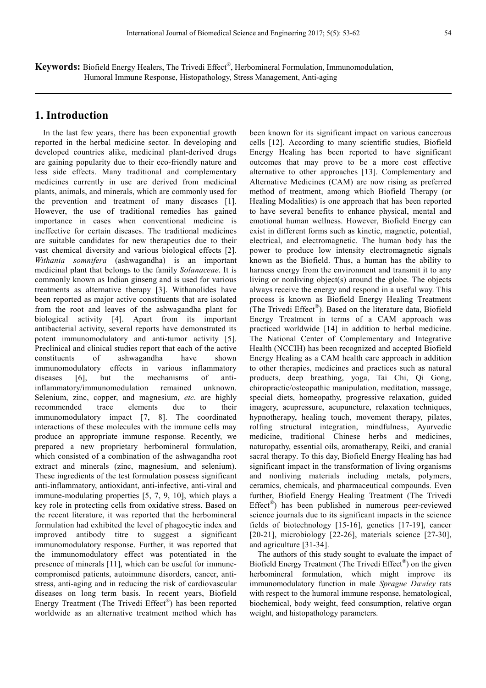**Keywords:** Biofield Energy Healers, The Trivedi Effect® , Herbomineral Formulation, Immunomodulation, Humoral Immune Response, Histopathology, Stress Management, Anti-aging

# **1. Introduction**

In the last few years, there has been exponential growth reported in the herbal medicine sector. In developing and developed countries alike, medicinal plant-derived drugs are gaining popularity due to their eco-friendly nature and less side effects. Many traditional and complementary medicines currently in use are derived from medicinal plants, animals, and minerals, which are commonly used for the prevention and treatment of many diseases [1]. However, the use of traditional remedies has gained importance in cases when conventional medicine is ineffective for certain diseases. The traditional medicines are suitable candidates for new therapeutics due to their vast chemical diversity and various biological effects [2]. *Withania somnifera* (ashwagandha) is an important medicinal plant that belongs to the family *Solanaceae*. It is commonly known as Indian ginseng and is used for various treatments as alternative therapy [3]. Withanolides have been reported as major active constituents that are isolated from the root and leaves of the ashwagandha plant for biological activity [4]. Apart from its important antibacterial activity, several reports have demonstrated its potent immunomodulatory and anti-tumor activity [5]. Preclinical and clinical studies report that each of the active constituents of ashwagandha have shown immunomodulatory effects in various inflammatory diseases [6], but the mechanisms of antiinflammatory/immunomodulation remained unknown. Selenium, zinc, copper, and magnesium, *etc.* are highly recommended trace elements due to their immunomodulatory impact [7, 8]. The coordinated interactions of these molecules with the immune cells may produce an appropriate immune response. Recently, we prepared a new proprietary herbomineral formulation, which consisted of a combination of the ashwagandha root extract and minerals (zinc, magnesium, and selenium). These ingredients of the test formulation possess significant anti-inflammatory, antioxidant, anti-infective, anti-viral and immune-modulating properties [5, 7, 9, 10], which plays a key role in protecting cells from oxidative stress. Based on the recent literature, it was reported that the herbomineral formulation had exhibited the level of phagocytic index and improved antibody titre to suggest a significant immunomodulatory response. Further, it was reported that the immunomodulatory effect was potentiated in the presence of minerals [11], which can be useful for immunecompromised patients, autoimmune disorders, cancer, antistress, anti-aging and in reducing the risk of cardiovascular diseases on long term basis. In recent years, Biofield Energy Treatment (The Trivedi Effect® ) has been reported worldwide as an alternative treatment method which has

been known for its significant impact on various cancerous cells [12]. According to many scientific studies, Biofield Energy Healing has been reported to have significant outcomes that may prove to be a more cost effective alternative to other approaches [13]. Complementary and Alternative Medicines (CAM) are now rising as preferred method of treatment, among which Biofield Therapy (or Healing Modalities) is one approach that has been reported to have several benefits to enhance physical, mental and emotional human wellness. However, Biofield Energy can exist in different forms such as kinetic, magnetic, potential, electrical, and electromagnetic. The human body has the power to produce low intensity electromagnetic signals known as the Biofield. Thus, a human has the ability to harness energy from the environment and transmit it to any living or nonliving object(s) around the globe. The objects always receive the energy and respond in a useful way. This process is known as Biofield Energy Healing Treatment (The Trivedi Effect® ). Based on the literature data, Biofield Energy Treatment in terms of a CAM approach was practiced worldwide [14] in addition to herbal medicine. The National Center of Complementary and Integrative Health (NCCIH) has been recognized and accepted Biofield Energy Healing as a CAM health care approach in addition to other therapies, medicines and practices such as natural products, deep breathing, yoga, Tai Chi, Qi Gong, chiropractic/osteopathic manipulation, meditation, massage, special diets, homeopathy, progressive relaxation, guided imagery, acupressure, acupuncture, relaxation techniques, hypnotherapy, healing touch, movement therapy, pilates, rolfing structural integration, mindfulness, Ayurvedic medicine, traditional Chinese herbs and medicines, naturopathy, essential oils, aromatherapy, Reiki, and cranial sacral therapy. To this day, Biofield Energy Healing has had significant impact in the transformation of living organisms and nonliving materials including metals, polymers, ceramics, chemicals, and pharmaceutical compounds. Even further, Biofield Energy Healing Treatment (The Trivedi Effect® ) has been published in numerous peer-reviewed science journals due to its significant impacts in the science fields of biotechnology [15-16], genetics [17-19], cancer [20-21], microbiology [22-26], materials science [27-30], and agriculture [31-34].

The authors of this study sought to evaluate the impact of Biofield Energy Treatment (The Trivedi Effect®) on the given herbomineral formulation, which might improve its immunomodulatory function in male *Sprague Dawley* rats with respect to the humoral immune response, hematological, biochemical, body weight, feed consumption, relative organ weight, and histopathology parameters.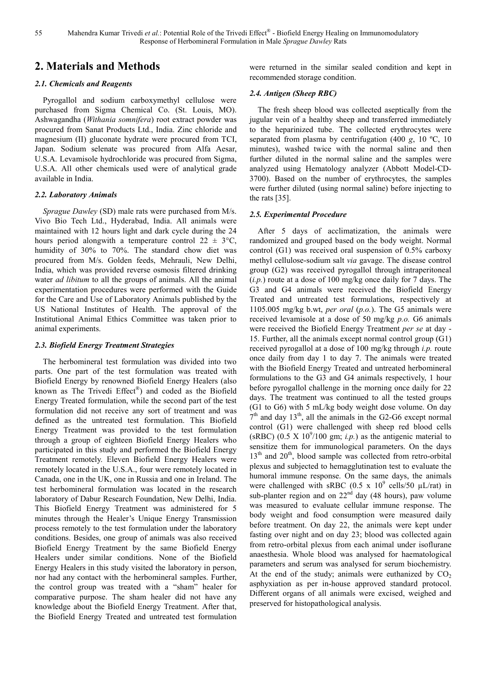# **2. Materials and Methods**

# *2.1. Chemicals and Reagents*

Pyrogallol and sodium carboxymethyl cellulose were purchased from Sigma Chemical Co. (St. Louis, MO). Ashwagandha (*Withania somnifera*) root extract powder was procured from Sanat Products Ltd., India. Zinc chloride and magnesium (II) gluconate hydrate were procured from TCI, Japan. Sodium selenate was procured from Alfa Aesar, U.S.A. Levamisole hydrochloride was procured from Sigma, U.S.A. All other chemicals used were of analytical grade available in India.

#### *2.2. Laboratory Animals*

*Sprague Dawley* (SD) male rats were purchased from M/s. Vivo Bio Tech Ltd., Hyderabad, India. All animals were maintained with 12 hours light and dark cycle during the 24 hours period alongwith a temperature control  $22 \pm 3$ °C, humidity of 30% to 70%. The standard chow diet was procured from M/s. Golden feeds, Mehrauli, New Delhi, India, which was provided reverse osmosis filtered drinking water *ad libitum* to all the groups of animals. All the animal experimentation procedures were performed with the Guide for the Care and Use of Laboratory Animals published by the US National Institutes of Health. The approval of the Institutional Animal Ethics Committee was taken prior to animal experiments.

### *2.3. Biofield Energy Treatment Strategies*

The herbomineral test formulation was divided into two parts. One part of the test formulation was treated with Biofield Energy by renowned Biofield Energy Healers (also known as The Trivedi Effect® ) and coded as the Biofield Energy Treated formulation, while the second part of the test formulation did not receive any sort of treatment and was defined as the untreated test formulation. This Biofield Energy Treatment was provided to the test formulation through a group of eighteen Biofield Energy Healers who participated in this study and performed the Biofield Energy Treatment remotely. Eleven Biofield Energy Healers were remotely located in the U.S.A., four were remotely located in Canada, one in the UK, one in Russia and one in Ireland. The test herbomineral formulation was located in the research laboratory of Dabur Research Foundation, New Delhi, India. This Biofield Energy Treatment was administered for 5 minutes through the Healer's Unique Energy Transmission process remotely to the test formulation under the laboratory conditions. Besides, one group of animals was also received Biofield Energy Treatment by the same Biofield Energy Healers under similar conditions. None of the Biofield Energy Healers in this study visited the laboratory in person, nor had any contact with the herbomineral samples. Further, the control group was treated with a "sham" healer for comparative purpose. The sham healer did not have any knowledge about the Biofield Energy Treatment. After that, the Biofield Energy Treated and untreated test formulation

were returned in the similar sealed condition and kept in recommended storage condition.

### *2.4. Antigen (Sheep RBC)*

The fresh sheep blood was collected aseptically from the jugular vein of a healthy sheep and transferred immediately to the heparinized tube. The collected erythrocytes were separated from plasma by centrifugation (400 *g*, 10 ºC, 10 minutes), washed twice with the normal saline and then further diluted in the normal saline and the samples were analyzed using Hematology analyzer (Abbott Model-CD-3700). Based on the number of erythrocytes, the samples were further diluted (using normal saline) before injecting to the rats [35].

#### *2.5. Experimental Procedure*

After 5 days of acclimatization, the animals were randomized and grouped based on the body weight. Normal control (G1) was received oral suspension of 0.5% carboxy methyl cellulose-sodium salt *via* gavage. The disease control group (G2) was received pyrogallol through intraperitoneal (*i.p.*) route at a dose of 100 mg/kg once daily for 7 days. The G3 and G4 animals were received the Biofield Energy Treated and untreated test formulations, respectively at 1105.005 mg/kg b.wt, *per oral* (*p.o.*). The G5 animals were received levamisole at a dose of 50 mg/kg *p.o.* G6 animals were received the Biofield Energy Treatment *per se* at day - 15. Further, all the animals except normal control group (G1) received pyrogallol at a dose of 100 mg/kg through *i.p.* route once daily from day 1 to day 7. The animals were treated with the Biofield Energy Treated and untreated herbomineral formulations to the G3 and G4 animals respectively, 1 hour before pyrogallol challenge in the morning once daily for 22 days. The treatment was continued to all the tested groups (G1 to G6) with 5 mL/kg body weight dose volume. On day  $7<sup>th</sup>$  and day 13<sup>th</sup>, all the animals in the G2-G6 except normal control (G1) were challenged with sheep red blood cells (sRBC) (0.5 X  $10^9/100$  gm; *i.p.*) as the antigenic material to sensitize them for immunological parameters. On the days  $13<sup>th</sup>$  and  $20<sup>th</sup>$ , blood sample was collected from retro-orbital plexus and subjected to hemagglutination test to evaluate the humoral immune response. On the same days, the animals were challenged with sRBC (0.5 x  $10^9$  cells/50  $\mu$ L/rat) in sub-planter region and on  $22<sup>nd</sup>$  day (48 hours), paw volume was measured to evaluate cellular immune response. The body weight and food consumption were measured daily before treatment. On day 22, the animals were kept under fasting over night and on day 23; blood was collected again from retro-orbital plexus from each animal under isoflurane anaesthesia. Whole blood was analysed for haematological parameters and serum was analysed for serum biochemistry. At the end of the study; animals were euthanized by  $CO<sub>2</sub>$ asphyxiation as per in-house approved standard protocol. Different organs of all animals were excised, weighed and preserved for histopathological analysis.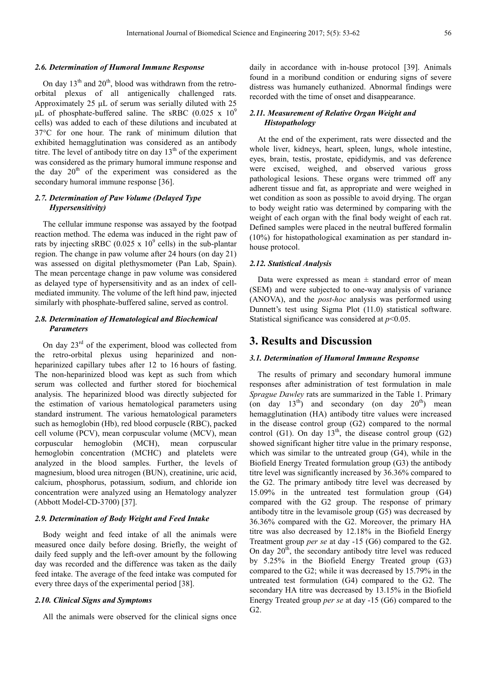# *2.6. Determination of Humoral Immune Response*

On day  $13<sup>th</sup>$  and  $20<sup>th</sup>$ , blood was withdrawn from the retroorbital plexus of all antigenically challenged rats. Approximately 25 µL of serum was serially diluted with 25 uL of phosphate-buffered saline. The sRBC  $(0.025 \times 10^9)$ cells) was added to each of these dilutions and incubated at 37°C for one hour. The rank of minimum dilution that exhibited hemagglutination was considered as an antibody titre. The level of antibody titre on day  $13<sup>th</sup>$  of the experiment was considered as the primary humoral immune response and the day  $20<sup>th</sup>$  of the experiment was considered as the secondary humoral immune response [36].

### *2.7. Determination of Paw Volume (Delayed Type Hypersensitivity)*

The cellular immune response was assayed by the footpad reaction method. The edema was induced in the right paw of rats by injecting sRBC (0.025 x  $10^9$  cells) in the sub-plantar region. The change in paw volume after 24 hours (on day 21) was assessed on digital plethysmometer (Pan Lab, Spain). The mean percentage change in paw volume was considered as delayed type of hypersensitivity and as an index of cellmediated immunity. The volume of the left hind paw, injected similarly with phosphate-buffered saline, served as control.

# *2.8. Determination of Hematological and Biochemical Parameters*

On day  $23<sup>rd</sup>$  of the experiment, blood was collected from the retro-orbital plexus using heparinized and nonheparinized capillary tubes after 12 to 16 hours of fasting. The non-heparinized blood was kept as such from which serum was collected and further stored for biochemical analysis. The heparinized blood was directly subjected for the estimation of various hematological parameters using standard instrument. The various hematological parameters such as hemoglobin (Hb), red blood corpuscle (RBC), packed cell volume (PCV), mean corpuscular volume (MCV), mean corpuscular hemoglobin (MCH), mean corpuscular hemoglobin concentration (MCHC) and platelets were analyzed in the blood samples. Further, the levels of magnesium, blood urea nitrogen (BUN), creatinine, uric acid, calcium, phosphorus, potassium, sodium, and chloride ion concentration were analyzed using an Hematology analyzer (Abbott Model-CD-3700) [37].

#### *2.9. Determination of Body Weight and Feed Intake*

Body weight and feed intake of all the animals were measured once daily before dosing. Briefly, the weight of daily feed supply and the left-over amount by the following day was recorded and the difference was taken as the daily feed intake. The average of the feed intake was computed for every three days of the experimental period [38].

#### *2.10. Clinical Signs and Symptoms*

All the animals were observed for the clinical signs once

daily in accordance with in-house protocol [39]. Animals found in a moribund condition or enduring signs of severe distress was humanely euthanized. Abnormal findings were recorded with the time of onset and disappearance.

# *2.11. Measurement of Relative Organ Weight and Histopathology*

At the end of the experiment, rats were dissected and the whole liver, kidneys, heart, spleen, lungs, whole intestine, eyes, brain, testis, prostate, epididymis, and vas deference were excised, weighed, and observed various gross pathological lesions. These organs were trimmed off any adherent tissue and fat, as appropriate and were weighed in wet condition as soon as possible to avoid drying. The organ to body weight ratio was determined by comparing with the weight of each organ with the final body weight of each rat. Defined samples were placed in the neutral buffered formalin (10%) for histopathological examination as per standard inhouse protocol.

# *2.12. Statistical Analysis*

Data were expressed as mean  $\pm$  standard error of mean (SEM) and were subjected to one-way analysis of variance (ANOVA), and the *post-hoc* analysis was performed using Dunnett's test using Sigma Plot (11.0) statistical software. Statistical significance was considered at *p*<0.05.

# **3. Results and Discussion**

#### *3.1. Determination of Humoral Immune Response*

The results of primary and secondary humoral immune responses after administration of test formulation in male *Sprague Dawley* rats are summarized in the Table 1. Primary (on day  $13<sup>th</sup>$ ) and secondary (on day  $20<sup>th</sup>$ ) mean hemagglutination (HA) antibody titre values were increased in the disease control group (G2) compared to the normal control (G1). On day  $13<sup>th</sup>$ , the disease control group (G2) showed significant higher titre value in the primary response, which was similar to the untreated group (G4), while in the Biofield Energy Treated formulation group (G3) the antibody titre level was significantly increased by 36.36% compared to the G2. The primary antibody titre level was decreased by 15.09% in the untreated test formulation group (G4) compared with the G2 group. The response of primary antibody titre in the levamisole group (G5) was decreased by 36.36% compared with the G2. Moreover, the primary HA titre was also decreased by 12.18% in the Biofield Energy Treatment group *per se* at day -15 (G6) compared to the G2. On day  $20<sup>th</sup>$ , the secondary antibody titre level was reduced by 5.25% in the Biofield Energy Treated group (G3) compared to the G2; while it was decreased by 15.79% in the untreated test formulation (G4) compared to the G2. The secondary HA titre was decreased by 13.15% in the Biofield Energy Treated group *per se* at day -15 (G6) compared to the G2.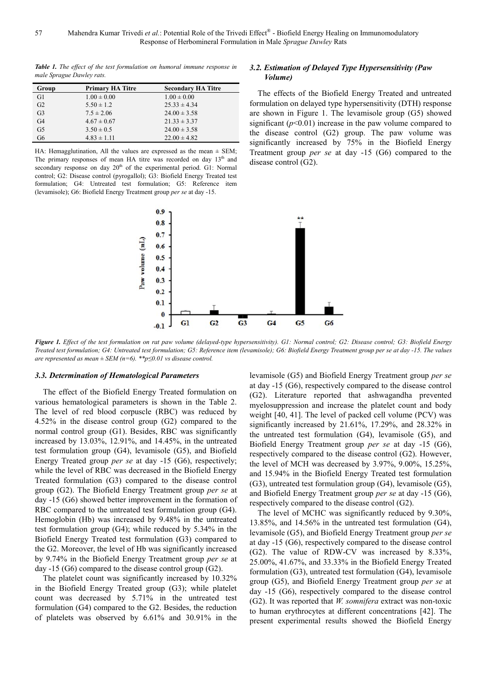*Table 1. The effect of the test formulation on humoral immune response in male Sprague Dawley rats.* 

| Group          | <b>Primary HA Titre</b> | <b>Secondary HA Titre</b> |
|----------------|-------------------------|---------------------------|
| G1             | $1.00 \pm 0.00$         | $1.00 \pm 0.00$           |
| G <sub>2</sub> | $5.50 \pm 1.2$          | $25.33 \pm 4.34$          |
| G <sub>3</sub> | $7.5 \pm 2.06$          | $24.00 \pm 3.58$          |
| G <sub>4</sub> | $4.67 \pm 0.67$         | $21.33 \pm 3.37$          |
| G <sub>5</sub> | $3.50 \pm 0.5$          | $24.00 \pm 3.58$          |
| G6             | $4.83 \pm 1.11$         | $22.00 \pm 4.82$          |

HA: Hemagglutination, All the values are expressed as the mean  $\pm$  SEM; The primary responses of mean HA titre was recorded on day  $13<sup>th</sup>$  and secondary response on day  $20<sup>th</sup>$  of the experimental period. G1: Normal control; G2: Disease control (pyrogallol); G3: Biofield Energy Treated test formulation; G4: Untreated test formulation; G5: Reference item (levamisole); G6: Biofield Energy Treatment group *per se* at day -15.



# *3.2. Estimation of Delayed Type Hypersensitivity (Paw Volume)*

The effects of the Biofield Energy Treated and untreated formulation on delayed type hypersensitivity (DTH) response are shown in Figure 1. The levamisole group (G5) showed significant  $(p<0.01)$  increase in the paw volume compared to the disease control (G2) group. The paw volume was significantly increased by 75% in the Biofield Energy Treatment group *per se* at day -15 (G6) compared to the disease control (G2).

*Figure 1. Effect of the test formulation on rat paw volume (delayed-type hypersensitivity). G1: Normal control; G2: Disease control; G3: Biofield Energy Treated test formulation; G4: Untreated test formulation; G5: Reference item (levamisole); G6: Biofield Energy Treatment group per se at day -15. The values are represented as mean*  $\pm$  *SEM (n=6).* \*\*p $\leq$ 0.01 vs disease control.

#### *3.3. Determination of Hematological Parameters*

The effect of the Biofield Energy Treated formulation on various hematological parameters is shown in the Table 2. The level of red blood corpuscle (RBC) was reduced by 4.52% in the disease control group (G2) compared to the normal control group (G1). Besides, RBC was significantly increased by 13.03%, 12.91%, and 14.45%, in the untreated test formulation group (G4), levamisole (G5), and Biofield Energy Treated group *per se* at day -15 (G6), respectively; while the level of RBC was decreased in the Biofield Energy Treated formulation (G3) compared to the disease control group (G2). The Biofield Energy Treatment group *per se* at day -15 (G6) showed better improvement in the formation of RBC compared to the untreated test formulation group (G4). Hemoglobin (Hb) was increased by 9.48% in the untreated test formulation group (G4); while reduced by 5.34% in the Biofield Energy Treated test formulation (G3) compared to the G2. Moreover, the level of Hb was significantly increased by 9.74% in the Biofield Energy Treatment group *per se* at day -15 (G6) compared to the disease control group (G2).

The platelet count was significantly increased by 10.32% in the Biofield Energy Treated group (G3); while platelet count was decreased by 5.71% in the untreated test formulation (G4) compared to the G2. Besides, the reduction of platelets was observed by 6.61% and 30.91% in the levamisole (G5) and Biofield Energy Treatment group *per se* at day -15 (G6), respectively compared to the disease control (G2). Literature reported that ashwagandha prevented myelosuppression and increase the platelet count and body weight [40, 41]. The level of packed cell volume (PCV) was significantly increased by 21.61%, 17.29%, and 28.32% in the untreated test formulation (G4), levamisole (G5), and Biofield Energy Treatment group *per se* at day -15 (G6), respectively compared to the disease control (G2). However, the level of MCH was decreased by 3.97%, 9.00%, 15.25%, and 15.94% in the Biofield Energy Treated test formulation (G3), untreated test formulation group (G4), levamisole (G5), and Biofield Energy Treatment group *per se* at day -15 (G6), respectively compared to the disease control (G2).

The level of MCHC was significantly reduced by 9.30%, 13.85%, and 14.56% in the untreated test formulation (G4), levamisole (G5), and Biofield Energy Treatment group *per se* at day -15 (G6), respectively compared to the disease control (G2). The value of RDW-CV was increased by 8.33%, 25.00%, 41.67%, and 33.33% in the Biofield Energy Treated formulation (G3), untreated test formulation (G4), levamisole group (G5), and Biofield Energy Treatment group *per se* at day -15 (G6), respectively compared to the disease control (G2). It was reported that *W. somnifera* extract was non-toxic to human erythrocytes at different concentrations [42]. The present experimental results showed the Biofield Energy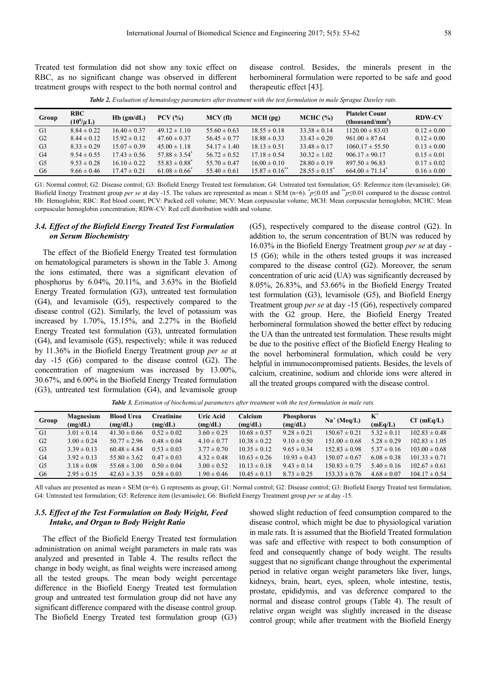Treated test formulation did not show any toxic effect on RBC, as no significant change was observed in different treatment groups with respect to the both normal control and disease control. Besides, the minerals present in the herbomineral formulation were reported to be safe and good therapeutic effect [43].

*Table 2. Evaluation of hematology parameters after treatment with the test formulation in male Sprague Dawley rats.* 

| Group          | <b>RBC</b><br>$(10^6/\mu L)$ | $Hb$ (gm/dL)     | $PCV$ $\left( % \right)$ | MCV(f)           | MCH(pq)                        | MCHC (%)           | <b>Platelet Count</b><br>(thousand/mm <sup>3</sup> ) | <b>RDW-CV</b>   |
|----------------|------------------------------|------------------|--------------------------|------------------|--------------------------------|--------------------|------------------------------------------------------|-----------------|
| G1             | $8.84 \pm 0.22$              | $16.40 \pm 0.37$ | $49.12 \pm 1.10$         | $55.60 \pm 0.63$ | $18.55 \pm 0.18$               | $33.38 \pm 0.14$   | $1120.00 \pm 83.03$                                  | $0.12 \pm 0.00$ |
| G2             | $8.44 \pm 0.12$              | $15.92 \pm 0.12$ | $47.60 \pm 0.37$         | $56.45 \pm 0.77$ | $18.88 \pm 0.33$               | $33.43 \pm 0.20$   | $961.00 \pm 87.64$                                   | $0.12 \pm 0.00$ |
| G <sub>3</sub> | $8.33 \pm 0.29$              | $15.07 \pm 0.39$ | $45.00 \pm 1.18$         | $54.17 \pm 1.40$ | $18.13 \pm 0.51$               | $33.48 \pm 0.17$   | $1060.17 \pm 55.50$                                  | $0.13 \pm 0.00$ |
| G4             | $9.54 \pm 0.55$              | $17.43 \pm 0.56$ | $57.88 \pm 3.54^*$       | $56.72 \pm 0.52$ | $17.18 \pm 0.54$               | $30.32 \pm 1.02$   | $906.17 \pm 90.17$                                   | $0.15 \pm 0.01$ |
| G <sub>5</sub> | $9.53 \pm 0.28$              | $16.10 \pm 0.22$ | $55.83 \pm 0.88^*$       | $55.70 \pm 0.47$ | $16.00 \pm 0.10$               | $28.80 \pm 0.19$   | $897.50 \pm 96.83$                                   | $0.17 \pm 0.02$ |
| G6             | $9.66 \pm 0.46$              | $17.47 \pm 0.21$ | $61.08 \pm 0.66^*$       | $55.40 \pm 0.61$ | $15.87 \pm 0.16$ <sup>**</sup> | $28.55 \pm 0.15^*$ | $664.00 \pm 71.14$ <sup>*</sup>                      | $0.16 \pm 0.00$ |
|                |                              |                  |                          |                  |                                |                    |                                                      |                 |

G1: Normal control; G2: Disease control; G3: Biofield Energy Treated test formulation; G4: Untreated test formulation; G5: Reference item (levamisole); G6: Biofield Energy Treatment group *per se* at day -15. The values are represented as mean ± SEM (n=6). \* *p*≤0.05 and \*\**p*≤0.01 compared to the disease control. Hb: Hemoglobin; RBC: Red blood count; PCV: Packed cell volume; MCV: Mean corpuscular volume; MCH: Mean corpuscular hemoglobin; MCHC: Mean corpuscular hemoglobin concentration; RDW-CV: Red cell distribution width and volume.

# *3.4. Effect of the Biofield Energy Treated Test Formulation on Serum Biochemistry*

The effect of the Biofield Energy Treated test formulation on hematological parameters is shown in the Table 3. Among the ions estimated, there was a significant elevation of phosphorus by  $6.04\%$ ,  $20.11\%$ , and  $3.63\%$  in the Biofield Energy Treated formulation (G3), untreated test formulation (G4), and levamisole (G5), respectively compared to the disease control (G2). Similarly, the level of potassium was increased by 1.70%, 15.15%, and 2.27% in the Biofield Energy Treated test formulation (G3), untreated formulation (G4), and levamisole (G5), respectively; while it was reduced by 11.36% in the Biofield Energy Treatment group *per se* at day -15 (G6) compared to the disease control (G2). The concentration of magnesium was increased by 13.00%, 30.67%, and 6.00% in the Biofield Energy Treated formulation (G3), untreated test formulation (G4), and levamisole group

(G5), respectively compared to the disease control (G2). In addition to, the serum concentration of BUN was reduced by 16.03% in the Biofield Energy Treatment group *per se* at day - 15 (G6); while in the others tested groups it was increased compared to the disease control (G2). Moreover, the serum concentration of uric acid (UA) was significantly decreased by 8.05%, 26.83%, and 53.66% in the Biofield Energy Treated test formulation (G3), levamisole (G5), and Biofield Energy Treatment group *per se* at day -15 (G6), respectively compared with the G2 group. Here, the Biofield Energy Treated herbomineral formulation showed the better effect by reducing the UA than the untreated test formulation. These results might be due to the positive effect of the Biofield Energy Healing to the novel herbomineral formulation, which could be very helpful in immunocompromised patients. Besides, the levels of calcium, creatinine, sodium and chloride ions were altered in all the treated groups compared with the disease control.

**Group Magnesium (mg/dL) Blood Urea (mg/dL) Creatinine (mg/dL) Uric Acid (mg/dL) Calcium (mg/dL) Phosphorus**   $(mg/dL)$ **Na**<sup>+</sup> (**Meq**/**L**) **k**<sup>+</sup>  $(mEq/L)$  **(mEq/L)**  G1  $3.01 \pm 0.14$   $41.30 \pm 0.66$   $0.52 \pm 0.02$   $3.60 \pm 0.25$   $10.68 \pm 0.57$   $9.28 \pm 0.21$   $150.67 \pm 0.21$   $5.32 \pm 0.11$   $102.83 \pm 0.48$ G2  $3.00 \pm 0.24$   $50.77 \pm 2.96$   $0.48 \pm 0.04$   $4.10 \pm 0.77$   $10.38 \pm 0.22$   $9.10 \pm 0.50$   $151.00 \pm 0.68$   $5.28 \pm 0.29$   $102.83 \pm 1.05$ G3  $3.39 \pm 0.13$   $60.48 \pm 4.84$   $0.53 \pm 0.03$   $3.77 \pm 0.70$   $10.35 \pm 0.12$   $9.65 \pm 0.34$   $152.83 \pm 0.98$   $5.37 \pm 0.16$   $103.00 \pm 0.68$ G4  $3.92 \pm 0.13$   $55.80 \pm 3.62$   $0.47 \pm 0.03$   $4.32 \pm 0.48$   $10.63 \pm 0.26$   $10.93 \pm 0.43$   $150.07 \pm 0.67$   $6.08 \pm 0.38$   $101.33 \pm 0.71$ G5  $3.18 \pm 0.08$   $55.68 \pm 3.00$   $0.50 \pm 0.04$   $3.00 \pm 0.52$   $10.13 \pm 0.18$   $9.43 \pm 0.14$   $150.83 \pm 0.75$   $5.40 \pm 0.16$   $102.67 \pm 0.61$ G6  $2.95 \pm 0.15$   $42.63 \pm 3.35$   $0.58 \pm 0.03$   $1.90 \pm 0.46$   $10.45 \pm 0.13$   $8.73 \pm 0.25$   $153.33 \pm 0.76$   $4.68 \pm 0.07$   $104.17 \pm 0.54$ 

*Table 3. Estimation of biochemical parameters after treatment with the test formulation in male rats.* 

All values are presented as mean  $\pm$  SEM (n=6). G represents as group; G1: Normal control; G2: Disease control; G3: Biofield Energy Treated test formulation; G4: Untreated test formulation; G5: Reference item (levamisole); G6: Biofield Energy Treatment group *per se* at day -15.

# *3.5. Effect of the Test Formulation on Body Weight, Feed Intake, and Organ to Body Weight Ratio*

The effect of the Biofield Energy Treated test formulation administration on animal weight parameters in male rats was analyzed and presented in Table 4. The results reflect the change in body weight, as final weights were increased among all the tested groups. The mean body weight percentage difference in the Biofield Energy Treated test formulation group and untreated test formulation group did not have any significant difference compared with the disease control group. The Biofield Energy Treated test formulation group (G3) showed slight reduction of feed consumption compared to the disease control, which might be due to physiological variation in male rats. It is assumed that the Biofield Treated formulation was safe and effective with respect to both consumption of feed and consequently change of body weight. The results suggest that no significant change throughout the experimental period in relative organ weight parameters like liver, lungs, kidneys, brain, heart, eyes, spleen, whole intestine, testis, prostate, epididymis, and vas deference compared to the normal and disease control groups (Table 4). The result of relative organ weight was slightly increased in the disease control group; while after treatment with the Biofield Energy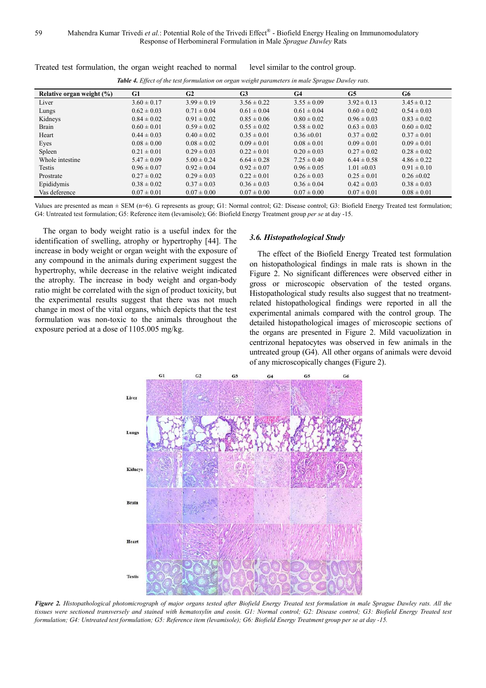59 Mahendra Kumar Trivedi et al.: Potential Role of the Trivedi Effect® - Biofield Energy Healing on Immunomodulatory Response of Herbomineral Formulation in Male *Sprague Dawley* Rats

| Table 4. Effect of the test formulation on organ weight parameters in male Sprague Dawley rats. |                 |                 |                 |                 |                 |                 |  |  |
|-------------------------------------------------------------------------------------------------|-----------------|-----------------|-----------------|-----------------|-----------------|-----------------|--|--|
| Relative organ weight $(\%)$                                                                    | G1              | G2              | G3              | G <sub>4</sub>  | G5              | G6              |  |  |
| Liver                                                                                           | $3.60 \pm 0.17$ | $3.99 \pm 0.19$ | $3.56 \pm 0.22$ | $3.55 \pm 0.09$ | $3.92 \pm 0.13$ | $3.45 \pm 0.12$ |  |  |
| Lungs                                                                                           | $0.62 \pm 0.03$ | $0.71 \pm 0.04$ | $0.61 \pm 0.04$ | $0.61 \pm 0.04$ | $0.60 \pm 0.02$ | $0.54 \pm 0.03$ |  |  |
| Kidneys                                                                                         | $0.84 \pm 0.02$ | $0.91 \pm 0.02$ | $0.85 \pm 0.06$ | $0.80 \pm 0.02$ | $0.96 \pm 0.03$ | $0.83 \pm 0.02$ |  |  |
| Brain                                                                                           | $0.60 \pm 0.01$ | $0.59 \pm 0.02$ | $0.55 \pm 0.02$ | $0.58 \pm 0.02$ | $0.63 \pm 0.03$ | $0.60 \pm 0.02$ |  |  |
| Heart                                                                                           | $0.44 \pm 0.03$ | $0.40 \pm 0.02$ | $0.35 \pm 0.01$ | $0.36 \pm 0.01$ | $0.37 \pm 0.02$ | $0.37 \pm 0.01$ |  |  |
| Eyes                                                                                            | $0.08 \pm 0.00$ | $0.08 \pm 0.02$ | $0.09 \pm 0.01$ | $0.08 \pm 0.01$ | $0.09 \pm 0.01$ | $0.09 \pm 0.01$ |  |  |
| Spleen                                                                                          | $0.21 \pm 0.01$ | $0.29 \pm 0.03$ | $0.22 \pm 0.01$ | $0.20 \pm 0.03$ | $0.27 \pm 0.02$ | $0.28 \pm 0.02$ |  |  |
| Whole intestine                                                                                 | $5.47 \pm 0.09$ | $5.00 \pm 0.24$ | $6.64 \pm 0.28$ | $7.25 \pm 0.40$ | $6.44 \pm 0.58$ | $4.86 \pm 0.22$ |  |  |
| Testis                                                                                          | $0.96 \pm 0.07$ | $0.92 \pm 0.04$ | $0.92 \pm 0.07$ | $0.96 \pm 0.05$ | $1.01 \pm 0.03$ | $0.91 \pm 0.10$ |  |  |
| Prostrate                                                                                       | $0.27 \pm 0.02$ | $0.29 \pm 0.03$ | $0.22 \pm 0.01$ | $0.26 \pm 0.03$ | $0.25 \pm 0.01$ | $0.26 \pm 0.02$ |  |  |
| Epididymis                                                                                      | $0.38 \pm 0.02$ | $0.37 \pm 0.03$ | $0.36 \pm 0.03$ | $0.36 \pm 0.04$ | $0.42 \pm 0.03$ | $0.38 \pm 0.03$ |  |  |
| Vas deference                                                                                   | $0.07 \pm 0.01$ | $0.07 \pm 0.00$ | $0.07 \pm 0.00$ | $0.07 \pm 0.00$ | $0.07 \pm 0.01$ | $0.08 \pm 0.01$ |  |  |

Treated test formulation, the organ weight reached to normal level similar to the control group.

Values are presented as mean  $\pm$  SEM (n=6). G represents as group; G1: Normal control; G2: Disease control; G3: Biofield Energy Treated test formulation; G4: Untreated test formulation; G5: Reference item (levamisole); G6: Biofield Energy Treatment group *per se* at day -15.

The organ to body weight ratio is a useful index for the identification of swelling, atrophy or hypertrophy [44]. The increase in body weight or organ weight with the exposure of any compound in the animals during experiment suggest the hypertrophy, while decrease in the relative weight indicated the atrophy. The increase in body weight and organ-body ratio might be correlated with the sign of product toxicity, but the experimental results suggest that there was not much change in most of the vital organs, which depicts that the test formulation was non-toxic to the animals throughout the exposure period at a dose of 1105.005 mg/kg.

#### *3.6. Histopathological Study*

The effect of the Biofield Energy Treated test formulation on histopathological findings in male rats is shown in the Figure 2. No significant differences were observed either in gross or microscopic observation of the tested organs. Histopathological study results also suggest that no treatmentrelated histopathological findings were reported in all the experimental animals compared with the control group. The detailed histopathological images of microscopic sections of the organs are presented in Figure 2. Mild vacuolization in centrizonal hepatocytes was observed in few animals in the untreated group (G4). All other organs of animals were devoid of any microscopically changes (Figure 2).



*Figure 2. Histopathological photomicrograph of major organs tested after Biofield Energy Treated test formulation in male Sprague Dawley rats. All the tissues were sectioned transversely and stained with hematoxylin and eosin. G1: Normal control; G2: Disease control; G3: Biofield Energy Treated test formulation; G4: Untreated test formulation; G5: Reference item (levamisole); G6: Biofield Energy Treatment group per se at day -15.*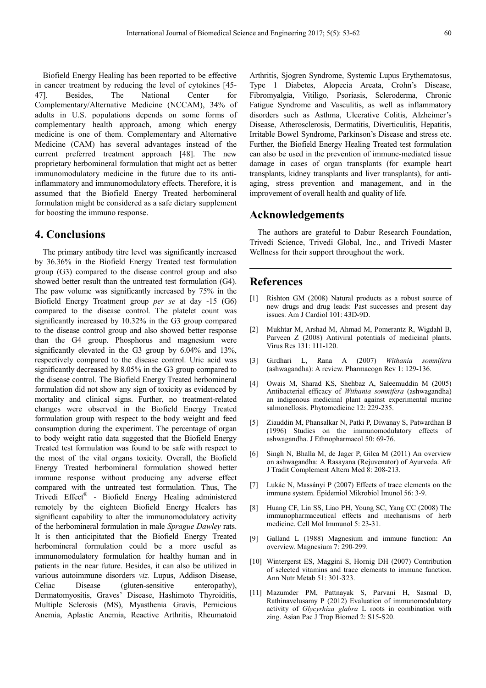Biofield Energy Healing has been reported to be effective in cancer treatment by reducing the level of cytokines [45- 47]. Besides, The National Center for Complementary/Alternative Medicine (NCCAM), 34% of adults in U.S. populations depends on some forms of complementary health approach, among which energy medicine is one of them. Complementary and Alternative Medicine (CAM) has several advantages instead of the current preferred treatment approach [48]. The new proprietary herbomineral formulation that might act as better immunomodulatory medicine in the future due to its antiinflammatory and immunomodulatory effects. Therefore, it is assumed that the Biofield Energy Treated herbomineral formulation might be considered as a safe dietary supplement for boosting the immuno response.

# **4. Conclusions**

The primary antibody titre level was significantly increased by 36.36% in the Biofield Energy Treated test formulation group (G3) compared to the disease control group and also showed better result than the untreated test formulation (G4). The paw volume was significantly increased by 75% in the Biofield Energy Treatment group *per se* at day -15 (G6) compared to the disease control. The platelet count was significantly increased by 10.32% in the G3 group compared to the disease control group and also showed better response than the G4 group. Phosphorus and magnesium were significantly elevated in the G3 group by 6.04% and 13%, respectively compared to the disease control. Uric acid was significantly decreased by 8.05% in the G3 group compared to the disease control. The Biofield Energy Treated herbomineral formulation did not show any sign of toxicity as evidenced by mortality and clinical signs. Further, no treatment-related changes were observed in the Biofield Energy Treated formulation group with respect to the body weight and feed consumption during the experiment. The percentage of organ to body weight ratio data suggested that the Biofield Energy Treated test formulation was found to be safe with respect to the most of the vital organs toxicity. Overall, the Biofield Energy Treated herbomineral formulation showed better immune response without producing any adverse effect compared with the untreated test formulation. Thus, The Trivedi Effect® - Biofield Energy Healing administered remotely by the eighteen Biofield Energy Healers has significant capability to alter the immunomodulatory activity of the herbomineral formulation in male *Sprague Dawley* rats. It is then anticipitated that the Biofield Energy Treated herbomineral formulation could be a more useful as immunomodulatory formulation for healthy human and in patients in the near future. Besides, it can also be utilized in various autoimmune disorders *viz.* Lupus, Addison Disease, Celiac Disease (gluten-sensitive enteropathy), Dermatomyositis, Graves' Disease, Hashimoto Thyroiditis, Multiple Sclerosis (MS), Myasthenia Gravis, Pernicious Anemia, Aplastic Anemia, Reactive Arthritis, Rheumatoid

Arthritis, Sjogren Syndrome, Systemic Lupus Erythematosus, Type 1 Diabetes, Alopecia Areata, Crohn's Disease, Fibromyalgia, Vitiligo, Psoriasis, Scleroderma, Chronic Fatigue Syndrome and Vasculitis, as well as inflammatory disorders such as Asthma, Ulcerative Colitis, Alzheimer's Disease, Atherosclerosis, Dermatitis, Diverticulitis, Hepatitis, Irritable Bowel Syndrome, Parkinson's Disease and stress etc. Further, the Biofield Energy Healing Treated test formulation can also be used in the prevention of immune-mediated tissue damage in cases of organ transplants (for example heart transplants, kidney transplants and liver transplants), for antiaging, stress prevention and management, and in the improvement of overall health and quality of life.

# **Acknowledgements**

The authors are grateful to Dabur Research Foundation, Trivedi Science, Trivedi Global, Inc., and Trivedi Master Wellness for their support throughout the work.

# **References**

- [1] Rishton GM (2008) Natural products as a robust source of new drugs and drug leads: Past successes and present day issues. Am J Cardiol 101: 43D-9D.
- [2] Mukhtar M, Arshad M, Ahmad M, Pomerantz R, Wigdahl B, Parveen Z (2008) Antiviral potentials of medicinal plants. Virus Res 131: 111-120.
- [3] Girdhari L, Rana A (2007) *Withania somnifera* (ashwagandha): A review. Pharmacogn Rev 1: 129-136.
- [4] Owais M, Sharad KS, Shehbaz A, Saleemuddin M (2005) Antibacterial efficacy of *Withania somnifera* (ashwagandha) an indigenous medicinal plant against experimental murine salmonellosis. Phytomedicine 12: 229-235.
- [5] Ziauddin M, Phansalkar N, Patki P, Diwanay S, Patwardhan B (1996) Studies on the immunomodulatory effects of ashwagandha. J Ethnopharmacol 50: 69-76.
- [6] Singh N, Bhalla M, de Jager P, Gilca M (2011) An overview on ashwagandha: A Rasayana (Rejuvenator) of Ayurveda. Afr J Tradit Complement Altern Med 8: 208-213.
- [7] Lukác N, Massányi P (2007) Effects of trace elements on the immune system. Epidemiol Mikrobiol Imunol 56: 3-9.
- [8] Huang CF, Lin SS, Liao PH, Young SC, Yang CC (2008) The immunopharmaceutical effects and mechanisms of herb medicine. Cell Mol Immunol 5: 23-31.
- [9] Galland L (1988) Magnesium and immune function: An overview. Magnesium 7: 290-299.
- [10] Wintergerst ES, Maggini S, Hornig DH (2007) Contribution of selected vitamins and trace elements to immune function. Ann Nutr Metab 51: 301-323.
- [11] Mazumder PM, Pattnayak S, Parvani H, Sasmal D, Rathinavelusamy P (2012) Evaluation of immunomodulatory activity of *Glycyrhiza glabra* L roots in combination with zing. Asian Pac J Trop Biomed 2: S15-S20.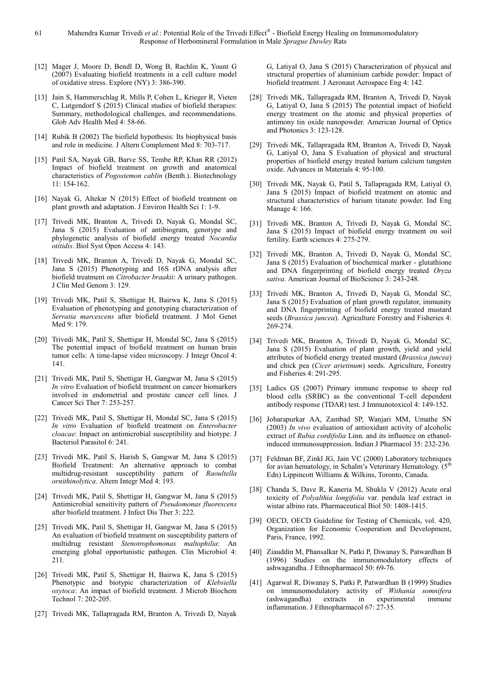- [12] Mager J, Moore D, Bendl D, Wong B, Rachlin K, Yount G (2007) Evaluating biofield treatments in a cell culture model of oxidative stress. Explore (NY) 3: 386-390.
- [13] Jain S, Hammerschlag R, Mills P, Cohen L, Krieger R, Vieten C, Lutgendorf S (2015) Clinical studies of biofield therapies: Summary, methodological challenges, and recommendations. Glob Adv Health Med 4: 58-66.
- [14] Rubik B (2002) The biofield hypothesis: Its biophysical basis and role in medicine. J Altern Complement Med 8: 703-717.
- [15] Patil SA, Nayak GB, Barve SS, Tembe RP, Khan RR (2012) Impact of biofield treatment on growth and anatomical characteristics of *Pogostemon cablin* (Benth.). Biotechnology 11: 154-162.
- [16] Nayak G, Altekar N (2015) Effect of biofield treatment on plant growth and adaptation. J Environ Health Sci 1: 1-9.
- [17] Trivedi MK, Branton A, Trivedi D, Nayak G, Mondal SC, Jana S (2015) Evaluation of antibiogram, genotype and phylogenetic analysis of biofield energy treated *Nocardia otitidis*. Biol Syst Open Access 4: 143.
- [18] Trivedi MK, Branton A, Trivedi D, Nayak G, Mondal SC, Jana S (2015) Phenotyping and 16S rDNA analysis after biofield treatment on *Citrobacter braakii*: A urinary pathogen. J Clin Med Genom 3: 129.
- [19] Trivedi MK, Patil S, Shettigar H, Bairwa K, Jana S (2015) Evaluation of phenotyping and genotyping characterization of *Serratia marcescens* after biofield treatment. J Mol Genet Med 9: 179.
- [20] Trivedi MK, Patil S, Shettigar H, Mondal SC, Jana S (2015) The potential impact of biofield treatment on human brain tumor cells: A time-lapse video microscopy. J Integr Oncol 4: 141.
- [21] Trivedi MK, Patil S, Shettigar H, Gangwar M, Jana S (2015) *In vitro* Evaluation of biofield treatment on cancer biomarkers involved in endometrial and prostate cancer cell lines. J Cancer Sci Ther 7: 253-257.
- [22] Trivedi MK, Patil S, Shettigar H, Mondal SC, Jana S (2015) *In vitro* Evaluation of biofield treatment on *Enterobacter cloacae*: Impact on antimicrobial susceptibility and biotype. J Bacteriol Parasitol 6: 241.
- [23] Trivedi MK, Patil S, Harish S, Gangwar M, Jana S (2015) Biofield Treatment: An alternative approach to combat multidrug-resistant susceptibility pattern of *Raoultella ornithinolytica*. Altern Integr Med 4: 193.
- [24] Trivedi MK, Patil S, Shettigar H, Gangwar M, Jana S (2015) Antimicrobial sensitivity pattern of *Pseudomonas fluorescens* after biofield treatment. J Infect Dis Ther 3: 222.
- [25] Trivedi MK, Patil S, Shettigar H, Gangwar M, Jana S (2015) An evaluation of biofield treatment on susceptibility pattern of multidrug resistant *Stenotrophomonas maltophilia*: An emerging global opportunistic pathogen. Clin Microbiol 4: 211.
- [26] Trivedi MK, Patil S, Shettigar H, Bairwa K, Jana S (2015) Phenotypic and biotypic characterization of *Klebsiella oxytoca*: An impact of biofield treatment. J Microb Biochem Technol 7: 202-205.
- [27] Trivedi MK, Tallapragada RM, Branton A, Trivedi D, Nayak

G, Latiyal O, Jana S (2015) Characterization of physical and structural properties of aluminium carbide powder: Impact of biofield treatment. J Aeronaut Aerospace Eng 4: 142.

- [28] Trivedi MK, Tallapragada RM, Branton A, Trivedi D, Nayak G, Latiyal O, Jana S (2015) The potential impact of biofield energy treatment on the atomic and physical properties of antimony tin oxide nanopowder. American Journal of Optics and Photonics 3: 123-128.
- [29] Trivedi MK, Tallapragada RM, Branton A, Trivedi D, Nayak G, Latiyal O, Jana S Evaluation of physical and structural properties of biofield energy treated barium calcium tungsten oxide. Advances in Materials 4: 95-100.
- [30] Trivedi MK, Nayak G, Patil S, Tallapragada RM, Latiyal O, Jana S (2015) Impact of biofield treatment on atomic and structural characteristics of barium titanate powder. Ind Eng Manage 4: 166.
- [31] Trivedi MK, Branton A, Trivedi D, Nayak G, Mondal SC, Jana S (2015) Impact of biofield energy treatment on soil fertility. Earth sciences 4: 275-279.
- [32] Trivedi MK, Branton A, Trivedi D, Nayak G, Mondal SC, Jana S (2015) Evaluation of biochemical marker - glutathione and DNA fingerprinting of biofield energy treated *Oryza sativa*. American Journal of BioScience 3: 243-248.
- [33] Trivedi MK, Branton A, Trivedi D, Nayak G, Mondal SC, Jana S (2015) Evaluation of plant growth regulator, immunity and DNA fingerprinting of biofield energy treated mustard seeds (*Brassica juncea*). Agriculture Forestry and Fisheries 4: 269-274.
- [34] Trivedi MK, Branton A, Trivedi D, Nayak G, Mondal SC, Jana S (2015) Evaluation of plant growth, yield and yield attributes of biofield energy treated mustard (*Brassica juncea*) and chick pea (*Cicer arietinum*) seeds. Agriculture, Forestry and Fisheries 4: 291-295.
- [35] Ladics GS (2007) Primary immune response to sheep red blood cells (SRBC) as the conventional T-cell dependent antibody response (TDAR) test. J Immunotoxicol 4: 149-152.
- [36] Joharapurkar AA, Zambad SP, Wanjari MM, Umathe SN (2003) *In vivo* evaluation of antioxidant activity of alcoholic extract of *Rubia cordifolia* Linn. and its influence on ethanolinduced immunosuppression. Indian J Pharmacol 35: 232-236.
- [37] Feldman BF, Zinkl JG, Jain VC (2000) Laboratory techniques for avian hematology, in Schalm's Veterinary Hematology.  $(5<sup>th</sup>$ Edn) Lippincott Williams & Wilkins, Toronto, Canada.
- [38] Chanda S, Dave R, Kaneria M, Shukla V (2012) Acute oral toxicity of *Polyalthia longifolia* var. pendula leaf extract in wistar albino rats. Pharmaceutical Biol 50: 1408-1415.
- [39] OECD, OECD Guideline for Testing of Chemicals, vol. 420, Organization for Economic Cooperation and Development, Paris, France, 1992.
- [40] Ziauddin M, Phansalkar N, Patki P, Diwanay S, Patwardhan B (1996) Studies on the immunomodulatory effects of ashwagandha. J Ethnopharmacol 50: 69-76.
- [41] Agarwal R, Diwanay S, Patki P, Patwardhan B (1999) Studies on immunomodulatory activity of *Withania somnifera* (ashwagandha) extracts in experimental immune inflammation. J Ethnopharmacol 67: 27-35.